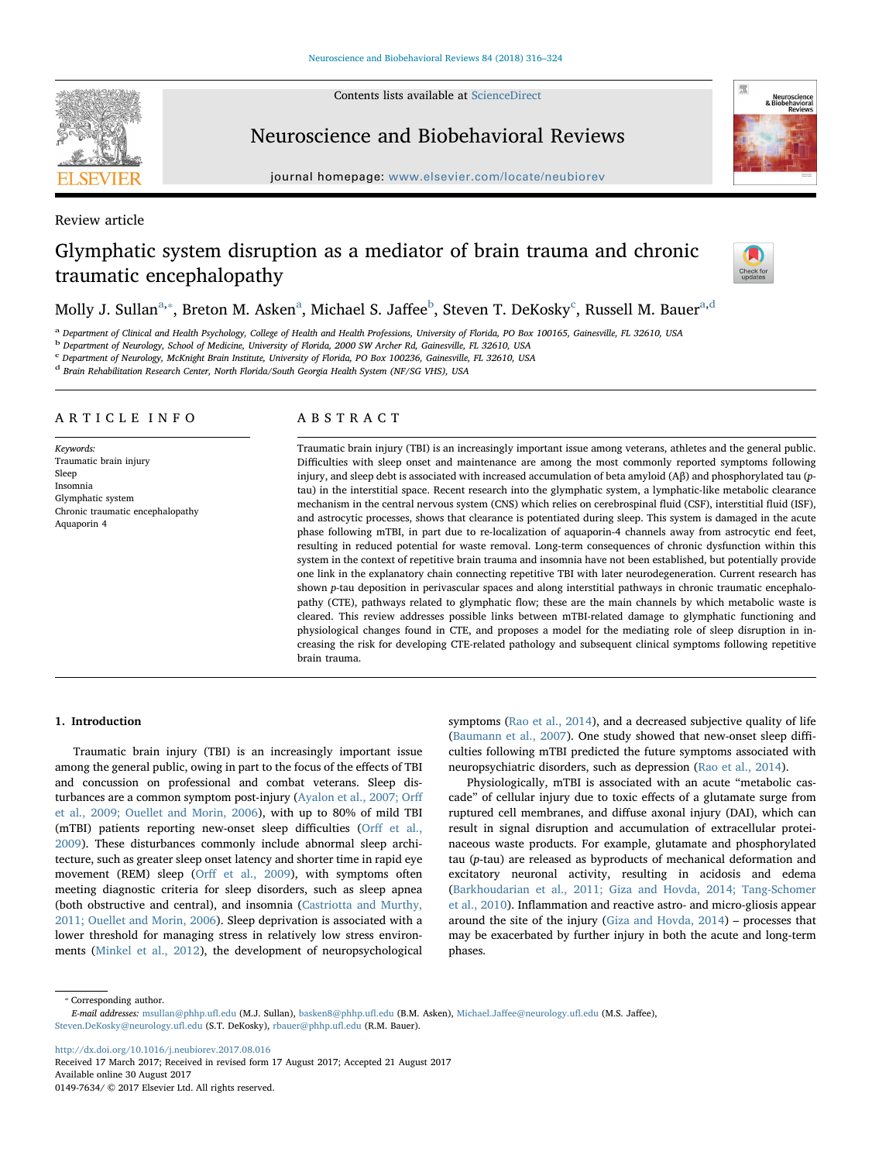Contents lists available at ScienceDirect



## Neuroscience and Biobehavioral Reviews

journal homepage: www.elsevier.com/locate/neubiorev

Review article

# Glymphatic system disruption as a mediator of brain trauma and chronic traumatic encephalopathy



## Molly J. Sullan<sup>a,</sup>\*, Breton M. Asken<sup>a</sup>, Michael S. Jaffee<sup>b</sup>, Steven T. DeKosky<sup>c</sup>, Russell M. Bauer<sup>a,d</sup>

<sup>a</sup> Department of Clinical and Health Psychology, College of Health and Health Professions, University of Florida, PO Box 100165, Gainesville, FL 32610, USA

<sup>b</sup> Department of Neurology, School of Medicine, University of Florida, 2000 SW Archer Rd, Gainesville, FL 32610, USA

 $c$  Department of Neurology, McKnight Brain Institute, University of Florida, PO Box 100236, Gainesville, FL 32610, USA

<sup>d</sup> Brain Rehabilitation Research Center, North Florida/South Georgia Health System (NF/SG VHS), USA

## ARTICLE INFO

Keywords: Traumatic brain injury Sleep Insomnia Glymphatic system Chronic traumatic encephalopathy Aquaporin 4

## ABSTRACT

Traumatic brain injury (TBI) is an increasingly important issue among veterans, athletes and the general public. Difficulties with sleep onset and maintenance are among the most commonly reported symptoms following injury, and sleep debt is associated with increased accumulation of beta amyloid (Aβ) and phosphorylated tau (ptau) in the interstitial space. Recent research into the glymphatic system, a lymphatic-like metabolic clearance mechanism in the central nervous system (CNS) which relies on cerebrospinal fluid (CSF), interstitial fluid (ISF), and astrocytic processes, shows that clearance is potentiated during sleep. This system is damaged in the acute phase following mTBI, in part due to re-localization of aquaporin-4 channels away from astrocytic end feet, resulting in reduced potential for waste removal. Long-term consequences of chronic dysfunction within this system in the context of repetitive brain trauma and insomnia have not been established, but potentially provide one link in the explanatory chain connecting repetitive TBI with later neurodegeneration. Current research has shown p-tau deposition in perivascular spaces and along interstitial pathways in chronic traumatic encephalopathy (CTE), pathways related to glymphatic flow; these are the main channels by which metabolic waste is cleared. This review addresses possible links between mTBI-related damage to glymphatic functioning and physiological changes found in CTE, and proposes a model for the mediating role of sleep disruption in increasing the risk for developing CTE-related pathology and subsequent clinical symptoms following repetitive brain trauma.

## 1. Introduction

Traumatic brain injury (TBI) is an increasingly important issue among the general public, owing in part to the focus of the effects of TBI and concussion on professional and combat veterans. Sleep disturbances are a common symptom post-injury (Ayalon et al., 2007; Orff et al., 2009; Ouellet and Morin, 2006), with up to 80% of mild TBI (mTBI) patients reporting new-onset sleep difficulties (Orff et al., 2009). These disturbances commonly include abnormal sleep architecture, such as greater sleep onset latency and shorter time in rapid eye movement (REM) sleep (Orff et al., 2009), with symptoms often meeting diagnostic criteria for sleep disorders, such as sleep apnea (both obstructive and central), and insomnia (Castriotta and Murthy, 2011; Ouellet and Morin, 2006). Sleep deprivation is associated with a lower threshold for managing stress in relatively low stress environments (Minkel et al., 2012), the development of neuropsychological symptoms (Rao et al., 2014), and a decreased subjective quality of life (Baumann et al., 2007). One study showed that new-onset sleep difficulties following mTBI predicted the future symptoms associated with neuropsychiatric disorders, such as depression (Rao et al., 2014).

Physiologically, mTBI is associated with an acute "metabolic cascade" of cellular injury due to toxic effects of a glutamate surge from ruptured cell membranes, and diffuse axonal injury (DAI), which can result in signal disruption and accumulation of extracellular proteinaceous waste products. For example, glutamate and phosphorylated tau (p-tau) are released as byproducts of mechanical deformation and excitatory neuronal activity, resulting in acidosis and edema (Barkhoudarian et al., 2011; Giza and Hovda, 2014; Tang-Schomer et al., 2010). Inflammation and reactive astro- and micro-gliosis appear around the site of the injury (Giza and Hovda, 2014) – processes that may be exacerbated by further injury in both the acute and long-term phases.

⁎ Corresponding author.

http://dx.doi.org/10.1016/j.neubiorev.2017.08.016

Received 17 March 2017; Received in revised form 17 August 2017; Accepted 21 August 2017 Available online 30 August 2017 0149-7634/ © 2017 Elsevier Ltd. All rights reserved.

E-mail addresses: msullan@phhp.ufl.edu (M.J. Sullan), basken8@phhp.ufl.edu (B.M. Asken), Michael.Jaffee@neurology.ufl.edu (M.S. Jaffee), Steven.DeKosky@neurology.ufl.edu (S.T. DeKosky), rbauer@phhp.ufl.edu (R.M. Bauer).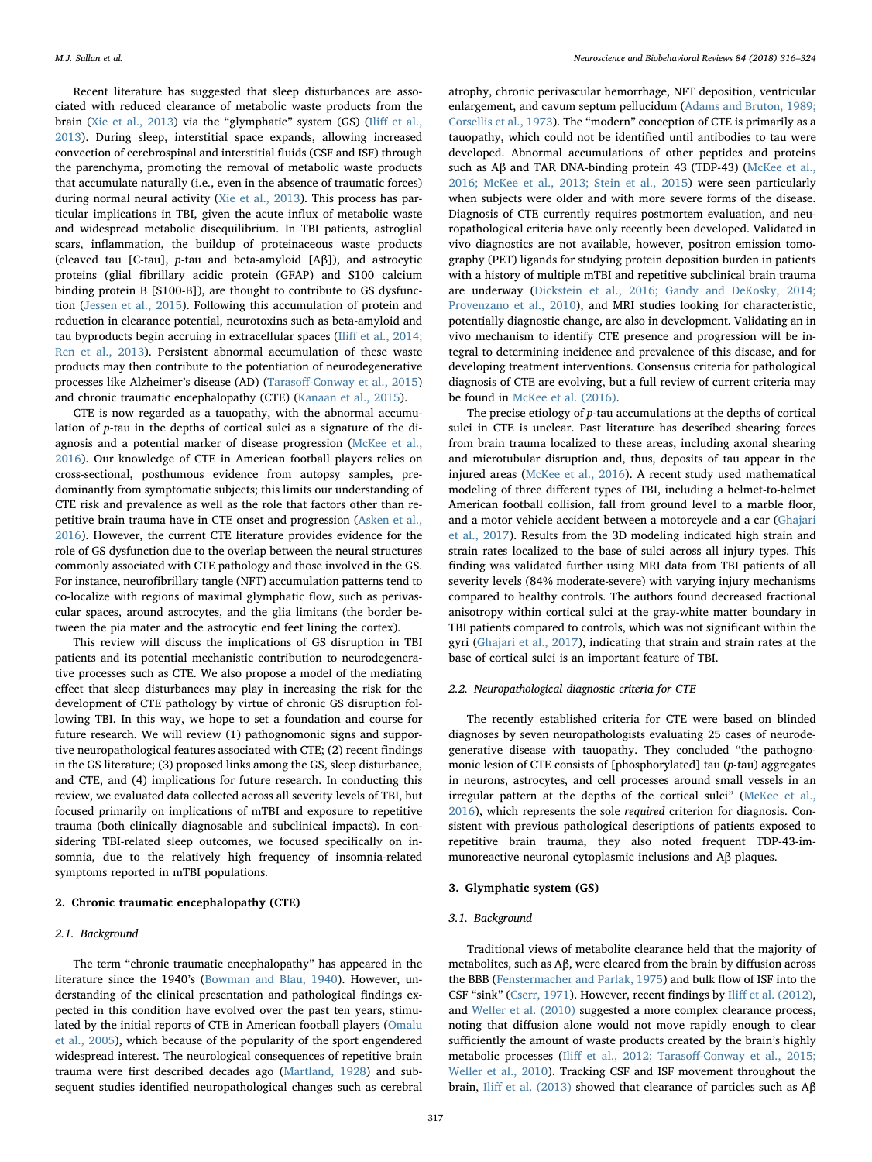Recent literature has suggested that sleep disturbances are associated with reduced clearance of metabolic waste products from the brain (Xie et al., 2013) via the "glymphatic" system (GS) (Iliff et al., 2013). During sleep, interstitial space expands, allowing increased convection of cerebrospinal and interstitial fluids (CSF and ISF) through the parenchyma, promoting the removal of metabolic waste products that accumulate naturally (i.e., even in the absence of traumatic forces) during normal neural activity (Xie et al., 2013). This process has particular implications in TBI, given the acute influx of metabolic waste and widespread metabolic disequilibrium. In TBI patients, astroglial scars, inflammation, the buildup of proteinaceous waste products (cleaved tau [C-tau], p-tau and beta-amyloid [Aβ]), and astrocytic proteins (glial fibrillary acidic protein (GFAP) and S100 calcium binding protein B [S100-B]), are thought to contribute to GS dysfunction (Jessen et al., 2015). Following this accumulation of protein and reduction in clearance potential, neurotoxins such as beta-amyloid and tau byproducts begin accruing in extracellular spaces (Iliff et al., 2014; Ren et al., 2013). Persistent abnormal accumulation of these waste products may then contribute to the potentiation of neurodegenerative processes like Alzheimer's disease (AD) (Tarasoff-Conway et al., 2015) and chronic traumatic encephalopathy (CTE) (Kanaan et al., 2015).

CTE is now regarded as a tauopathy, with the abnormal accumulation of p-tau in the depths of cortical sulci as a signature of the diagnosis and a potential marker of disease progression (McKee et al., 2016). Our knowledge of CTE in American football players relies on cross-sectional, posthumous evidence from autopsy samples, predominantly from symptomatic subjects; this limits our understanding of CTE risk and prevalence as well as the role that factors other than repetitive brain trauma have in CTE onset and progression (Asken et al., 2016). However, the current CTE literature provides evidence for the role of GS dysfunction due to the overlap between the neural structures commonly associated with CTE pathology and those involved in the GS. For instance, neurofibrillary tangle (NFT) accumulation patterns tend to co-localize with regions of maximal glymphatic flow, such as perivascular spaces, around astrocytes, and the glia limitans (the border between the pia mater and the astrocytic end feet lining the cortex).

This review will discuss the implications of GS disruption in TBI patients and its potential mechanistic contribution to neurodegenerative processes such as CTE. We also propose a model of the mediating effect that sleep disturbances may play in increasing the risk for the development of CTE pathology by virtue of chronic GS disruption following TBI. In this way, we hope to set a foundation and course for future research. We will review (1) pathognomonic signs and supportive neuropathological features associated with CTE; (2) recent findings in the GS literature; (3) proposed links among the GS, sleep disturbance, and CTE, and (4) implications for future research. In conducting this review, we evaluated data collected across all severity levels of TBI, but focused primarily on implications of mTBI and exposure to repetitive trauma (both clinically diagnosable and subclinical impacts). In considering TBI-related sleep outcomes, we focused specifically on insomnia, due to the relatively high frequency of insomnia-related symptoms reported in mTBI populations.

#### 2. Chronic traumatic encephalopathy (CTE)

### 2.1. Background

The term "chronic traumatic encephalopathy" has appeared in the literature since the 1940's (Bowman and Blau, 1940). However, understanding of the clinical presentation and pathological findings expected in this condition have evolved over the past ten years, stimulated by the initial reports of CTE in American football players (Omalu et al., 2005), which because of the popularity of the sport engendered widespread interest. The neurological consequences of repetitive brain trauma were first described decades ago (Martland, 1928) and subsequent studies identified neuropathological changes such as cerebral

atrophy, chronic perivascular hemorrhage, NFT deposition, ventricular enlargement, and cavum septum pellucidum (Adams and Bruton, 1989; Corsellis et al., 1973). The "modern" conception of CTE is primarily as a tauopathy, which could not be identified until antibodies to tau were developed. Abnormal accumulations of other peptides and proteins such as Aβ and TAR DNA-binding protein 43 (TDP-43) (McKee et al., 2016; McKee et al., 2013; Stein et al., 2015) were seen particularly when subjects were older and with more severe forms of the disease. Diagnosis of CTE currently requires postmortem evaluation, and neuropathological criteria have only recently been developed. Validated in vivo diagnostics are not available, however, positron emission tomography (PET) ligands for studying protein deposition burden in patients with a history of multiple mTBI and repetitive subclinical brain trauma are underway (Dickstein et al., 2016; Gandy and DeKosky, 2014; Provenzano et al., 2010), and MRI studies looking for characteristic, potentially diagnostic change, are also in development. Validating an in vivo mechanism to identify CTE presence and progression will be integral to determining incidence and prevalence of this disease, and for developing treatment interventions. Consensus criteria for pathological diagnosis of CTE are evolving, but a full review of current criteria may be found in McKee et al. (2016).

The precise etiology of p-tau accumulations at the depths of cortical sulci in CTE is unclear. Past literature has described shearing forces from brain trauma localized to these areas, including axonal shearing and microtubular disruption and, thus, deposits of tau appear in the injured areas (McKee et al., 2016). A recent study used mathematical modeling of three different types of TBI, including a helmet-to-helmet American football collision, fall from ground level to a marble floor, and a motor vehicle accident between a motorcycle and a car (Ghajari et al., 2017). Results from the 3D modeling indicated high strain and strain rates localized to the base of sulci across all injury types. This finding was validated further using MRI data from TBI patients of all severity levels (84% moderate-severe) with varying injury mechanisms compared to healthy controls. The authors found decreased fractional anisotropy within cortical sulci at the gray-white matter boundary in TBI patients compared to controls, which was not significant within the gyri (Ghajari et al., 2017), indicating that strain and strain rates at the base of cortical sulci is an important feature of TBI.

#### 2.2. Neuropathological diagnostic criteria for CTE

The recently established criteria for CTE were based on blinded diagnoses by seven neuropathologists evaluating 25 cases of neurodegenerative disease with tauopathy. They concluded "the pathognomonic lesion of CTE consists of [phosphorylated] tau (p-tau) aggregates in neurons, astrocytes, and cell processes around small vessels in an irregular pattern at the depths of the cortical sulci" (McKee et al., 2016), which represents the sole required criterion for diagnosis. Consistent with previous pathological descriptions of patients exposed to repetitive brain trauma, they also noted frequent TDP-43-immunoreactive neuronal cytoplasmic inclusions and Aβ plaques.

## 3. Glymphatic system (GS)

## 3.1. Background

Traditional views of metabolite clearance held that the majority of metabolites, such as Aβ, were cleared from the brain by diffusion across the BBB (Fenstermacher and Parlak, 1975) and bulk flow of ISF into the CSF "sink" (Cserr, 1971). However, recent findings by Iliff et al. (2012), and Weller et al. (2010) suggested a more complex clearance process, noting that diffusion alone would not move rapidly enough to clear sufficiently the amount of waste products created by the brain's highly metabolic processes (Iliff et al., 2012; Tarasoff-Conway et al., 2015; Weller et al., 2010). Tracking CSF and ISF movement throughout the brain, Iliff et al. (2013) showed that clearance of particles such as Aβ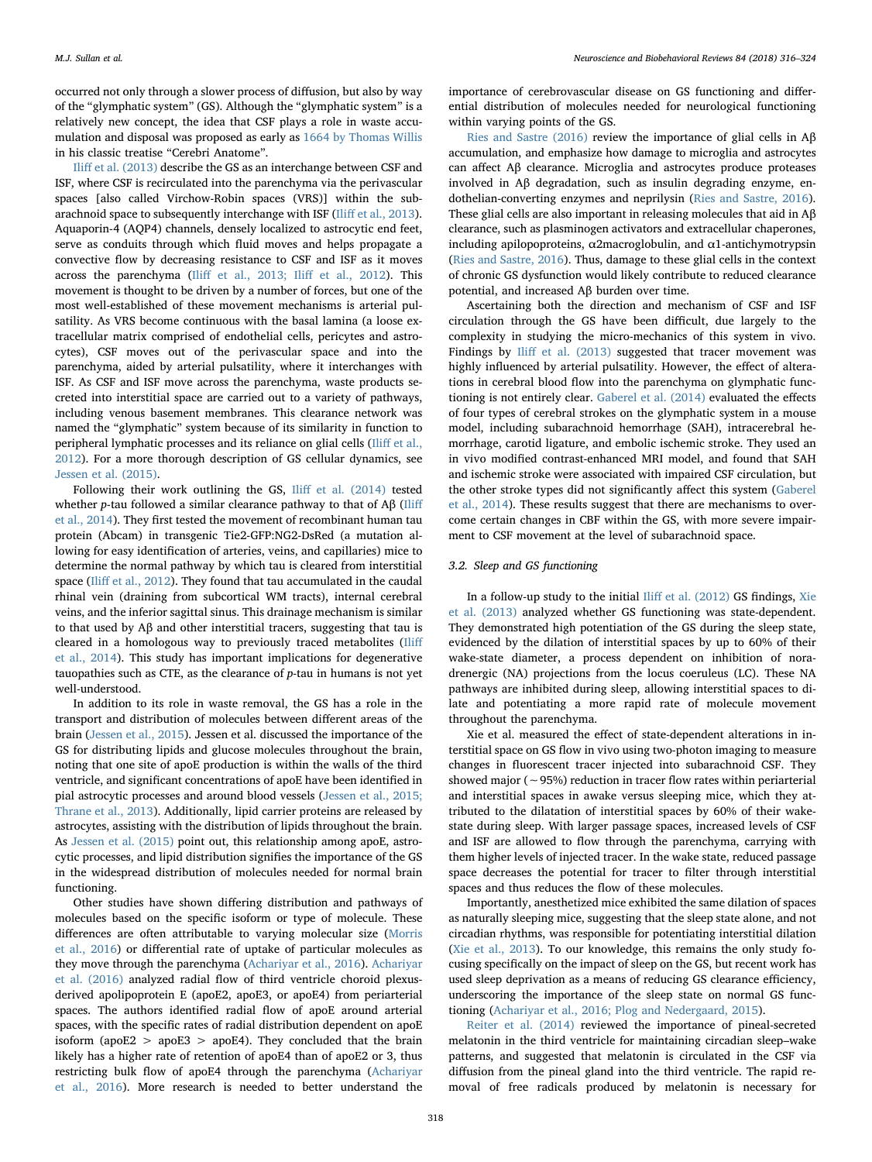occurred not only through a slower process of diffusion, but also by way of the "glymphatic system" (GS). Although the "glymphatic system" is a relatively new concept, the idea that CSF plays a role in waste accumulation and disposal was proposed as early as 1664 by Thomas Willis in his classic treatise "Cerebri Anatome".

Iliff et al. (2013) describe the GS as an interchange between CSF and ISF, where CSF is recirculated into the parenchyma via the perivascular spaces [also called Virchow-Robin spaces (VRS)] within the subarachnoid space to subsequently interchange with ISF (Iliff et al., 2013). Aquaporin-4 (AQP4) channels, densely localized to astrocytic end feet, serve as conduits through which fluid moves and helps propagate a convective flow by decreasing resistance to CSF and ISF as it moves across the parenchyma (Iliff et al., 2013; Iliff et al., 2012). This movement is thought to be driven by a number of forces, but one of the most well-established of these movement mechanisms is arterial pulsatility. As VRS become continuous with the basal lamina (a loose extracellular matrix comprised of endothelial cells, pericytes and astrocytes), CSF moves out of the perivascular space and into the parenchyma, aided by arterial pulsatility, where it interchanges with ISF. As CSF and ISF move across the parenchyma, waste products secreted into interstitial space are carried out to a variety of pathways, including venous basement membranes. This clearance network was named the "glymphatic" system because of its similarity in function to peripheral lymphatic processes and its reliance on glial cells (Iliff et al., 2012). For a more thorough description of GS cellular dynamics, see Jessen et al. (2015).

Following their work outlining the GS, Iliff et al. (2014) tested whether p-tau followed a similar clearance pathway to that of  $\mathsf{A}\beta$  (Iliff et al., 2014). They first tested the movement of recombinant human tau protein (Abcam) in transgenic Tie2-GFP:NG2-DsRed (a mutation allowing for easy identification of arteries, veins, and capillaries) mice to determine the normal pathway by which tau is cleared from interstitial space (Iliff et al., 2012). They found that tau accumulated in the caudal rhinal vein (draining from subcortical WM tracts), internal cerebral veins, and the inferior sagittal sinus. This drainage mechanism is similar to that used by Aβ and other interstitial tracers, suggesting that tau is cleared in a homologous way to previously traced metabolites (Iliff et al., 2014). This study has important implications for degenerative tauopathies such as CTE, as the clearance of p-tau in humans is not yet well-understood.

In addition to its role in waste removal, the GS has a role in the transport and distribution of molecules between different areas of the brain (Jessen et al., 2015). Jessen et al. discussed the importance of the GS for distributing lipids and glucose molecules throughout the brain, noting that one site of apoE production is within the walls of the third ventricle, and significant concentrations of apoE have been identified in pial astrocytic processes and around blood vessels (Jessen et al., 2015; Thrane et al., 2013). Additionally, lipid carrier proteins are released by astrocytes, assisting with the distribution of lipids throughout the brain. As Jessen et al. (2015) point out, this relationship among apoE, astrocytic processes, and lipid distribution signifies the importance of the GS in the widespread distribution of molecules needed for normal brain functioning.

Other studies have shown differing distribution and pathways of molecules based on the specific isoform or type of molecule. These differences are often attributable to varying molecular size (Morris et al., 2016) or differential rate of uptake of particular molecules as they move through the parenchyma (Achariyar et al., 2016). Achariyar et al. (2016) analyzed radial flow of third ventricle choroid plexusderived apolipoprotein E (apoE2, apoE3, or apoE4) from periarterial spaces. The authors identified radial flow of apoE around arterial spaces, with the specific rates of radial distribution dependent on apoE isoform (apoE2  $>$  apoE3  $>$  apoE4). They concluded that the brain likely has a higher rate of retention of apoE4 than of apoE2 or 3, thus restricting bulk flow of apoE4 through the parenchyma (Achariyar et al., 2016). More research is needed to better understand the importance of cerebrovascular disease on GS functioning and differential distribution of molecules needed for neurological functioning within varying points of the GS.

Ries and Sastre (2016) review the importance of glial cells in Aβ accumulation, and emphasize how damage to microglia and astrocytes can affect Aβ clearance. Microglia and astrocytes produce proteases involved in Aβ degradation, such as insulin degrading enzyme, endothelian-converting enzymes and neprilysin (Ries and Sastre, 2016). These glial cells are also important in releasing molecules that aid in Aβ clearance, such as plasminogen activators and extracellular chaperones, including apilopoproteins,  $\alpha$ 2macroglobulin, and  $\alpha$ 1-antichymotrypsin (Ries and Sastre, 2016). Thus, damage to these glial cells in the context of chronic GS dysfunction would likely contribute to reduced clearance potential, and increased Aβ burden over time.

Ascertaining both the direction and mechanism of CSF and ISF circulation through the GS have been difficult, due largely to the complexity in studying the micro-mechanics of this system in vivo. Findings by Iliff et al. (2013) suggested that tracer movement was highly influenced by arterial pulsatility. However, the effect of alterations in cerebral blood flow into the parenchyma on glymphatic functioning is not entirely clear. Gaberel et al. (2014) evaluated the effects of four types of cerebral strokes on the glymphatic system in a mouse model, including subarachnoid hemorrhage (SAH), intracerebral hemorrhage, carotid ligature, and embolic ischemic stroke. They used an in vivo modified contrast-enhanced MRI model, and found that SAH and ischemic stroke were associated with impaired CSF circulation, but the other stroke types did not significantly affect this system (Gaberel et al., 2014). These results suggest that there are mechanisms to overcome certain changes in CBF within the GS, with more severe impairment to CSF movement at the level of subarachnoid space.

## 3.2. Sleep and GS functioning

In a follow-up study to the initial Iliff et al. (2012) GS findings, Xie et al. (2013) analyzed whether GS functioning was state-dependent. They demonstrated high potentiation of the GS during the sleep state, evidenced by the dilation of interstitial spaces by up to 60% of their wake-state diameter, a process dependent on inhibition of noradrenergic (NA) projections from the locus coeruleus (LC). These NA pathways are inhibited during sleep, allowing interstitial spaces to dilate and potentiating a more rapid rate of molecule movement throughout the parenchyma.

Xie et al. measured the effect of state-dependent alterations in interstitial space on GS flow in vivo using two-photon imaging to measure changes in fluorescent tracer injected into subarachnoid CSF. They showed major (∼95%) reduction in tracer flow rates within periarterial and interstitial spaces in awake versus sleeping mice, which they attributed to the dilatation of interstitial spaces by 60% of their wakestate during sleep. With larger passage spaces, increased levels of CSF and ISF are allowed to flow through the parenchyma, carrying with them higher levels of injected tracer. In the wake state, reduced passage space decreases the potential for tracer to filter through interstitial spaces and thus reduces the flow of these molecules.

Importantly, anesthetized mice exhibited the same dilation of spaces as naturally sleeping mice, suggesting that the sleep state alone, and not circadian rhythms, was responsible for potentiating interstitial dilation (Xie et al., 2013). To our knowledge, this remains the only study focusing specifically on the impact of sleep on the GS, but recent work has used sleep deprivation as a means of reducing GS clearance efficiency, underscoring the importance of the sleep state on normal GS functioning (Achariyar et al., 2016; Plog and Nedergaard, 2015).

Reiter et al. (2014) reviewed the importance of pineal-secreted melatonin in the third ventricle for maintaining circadian sleep–wake patterns, and suggested that melatonin is circulated in the CSF via diffusion from the pineal gland into the third ventricle. The rapid removal of free radicals produced by melatonin is necessary for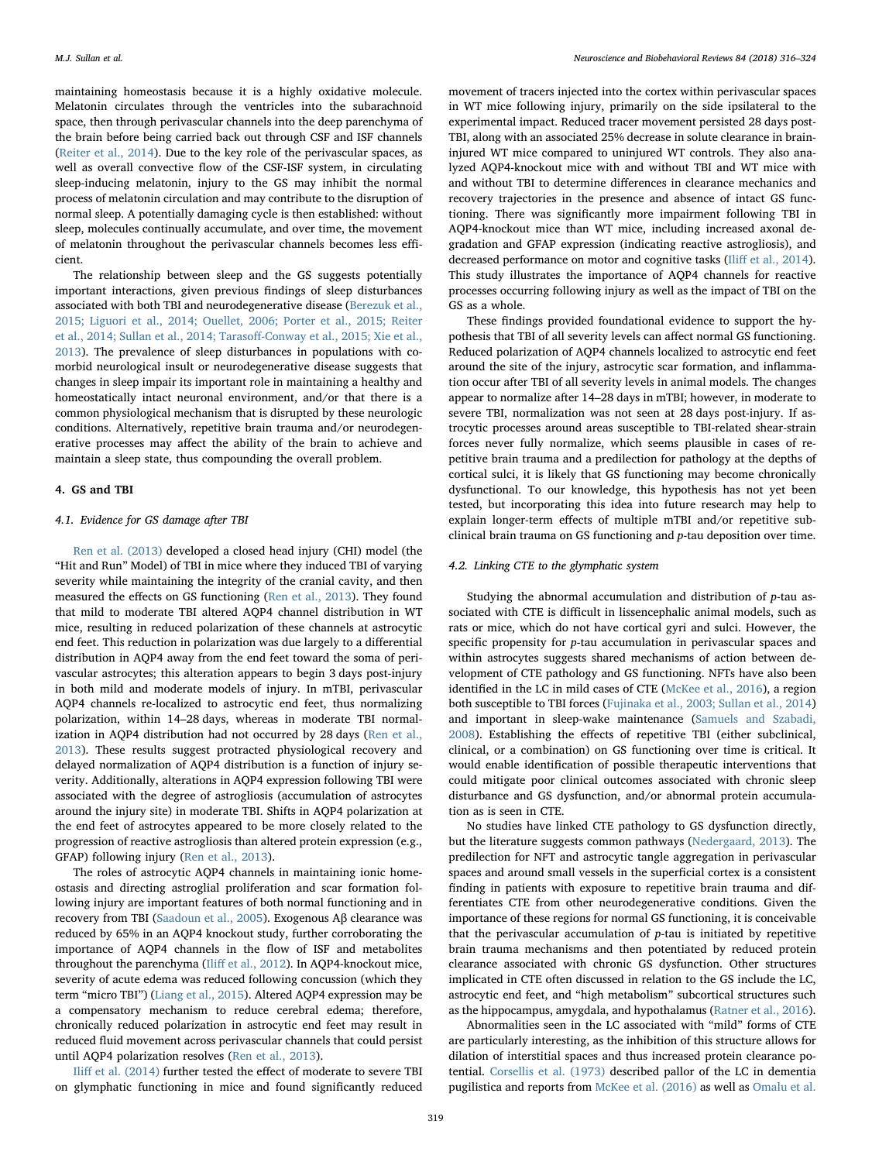maintaining homeostasis because it is a highly oxidative molecule. Melatonin circulates through the ventricles into the subarachnoid space, then through perivascular channels into the deep parenchyma of the brain before being carried back out through CSF and ISF channels (Reiter et al., 2014). Due to the key role of the perivascular spaces, as well as overall convective flow of the CSF-ISF system, in circulating sleep-inducing melatonin, injury to the GS may inhibit the normal process of melatonin circulation and may contribute to the disruption of normal sleep. A potentially damaging cycle is then established: without sleep, molecules continually accumulate, and over time, the movement of melatonin throughout the perivascular channels becomes less efficient.

The relationship between sleep and the GS suggests potentially important interactions, given previous findings of sleep disturbances associated with both TBI and neurodegenerative disease (Berezuk et al., 2015; Liguori et al., 2014; Ouellet, 2006; Porter et al., 2015; Reiter et al., 2014; Sullan et al., 2014; Tarasoff-Conway et al., 2015; Xie et al., 2013). The prevalence of sleep disturbances in populations with comorbid neurological insult or neurodegenerative disease suggests that changes in sleep impair its important role in maintaining a healthy and homeostatically intact neuronal environment, and/or that there is a common physiological mechanism that is disrupted by these neurologic conditions. Alternatively, repetitive brain trauma and/or neurodegenerative processes may affect the ability of the brain to achieve and maintain a sleep state, thus compounding the overall problem.

#### 4. GS and TBI

### 4.1. Evidence for GS damage after TBI

Ren et al. (2013) developed a closed head injury (CHI) model (the "Hit and Run" Model) of TBI in mice where they induced TBI of varying severity while maintaining the integrity of the cranial cavity, and then measured the effects on GS functioning (Ren et al., 2013). They found that mild to moderate TBI altered AQP4 channel distribution in WT mice, resulting in reduced polarization of these channels at astrocytic end feet. This reduction in polarization was due largely to a differential distribution in AQP4 away from the end feet toward the soma of perivascular astrocytes; this alteration appears to begin 3 days post-injury in both mild and moderate models of injury. In mTBI, perivascular AQP4 channels re-localized to astrocytic end feet, thus normalizing polarization, within 14–28 days, whereas in moderate TBI normalization in AQP4 distribution had not occurred by 28 days (Ren et al., 2013). These results suggest protracted physiological recovery and delayed normalization of AQP4 distribution is a function of injury severity. Additionally, alterations in AQP4 expression following TBI were associated with the degree of astrogliosis (accumulation of astrocytes around the injury site) in moderate TBI. Shifts in AQP4 polarization at the end feet of astrocytes appeared to be more closely related to the progression of reactive astrogliosis than altered protein expression (e.g., GFAP) following injury (Ren et al., 2013).

The roles of astrocytic AQP4 channels in maintaining ionic homeostasis and directing astroglial proliferation and scar formation following injury are important features of both normal functioning and in recovery from TBI (Saadoun et al., 2005). Exogenous Aβ clearance was reduced by 65% in an AQP4 knockout study, further corroborating the importance of AQP4 channels in the flow of ISF and metabolites throughout the parenchyma (Iliff et al., 2012). In AQP4-knockout mice, severity of acute edema was reduced following concussion (which they term "micro TBI") (Liang et al., 2015). Altered AQP4 expression may be a compensatory mechanism to reduce cerebral edema; therefore, chronically reduced polarization in astrocytic end feet may result in reduced fluid movement across perivascular channels that could persist until AQP4 polarization resolves (Ren et al., 2013).

Iliff et al. (2014) further tested the effect of moderate to severe TBI on glymphatic functioning in mice and found significantly reduced

movement of tracers injected into the cortex within perivascular spaces in WT mice following injury, primarily on the side ipsilateral to the experimental impact. Reduced tracer movement persisted 28 days post-TBI, along with an associated 25% decrease in solute clearance in braininjured WT mice compared to uninjured WT controls. They also analyzed AQP4-knockout mice with and without TBI and WT mice with and without TBI to determine differences in clearance mechanics and recovery trajectories in the presence and absence of intact GS functioning. There was significantly more impairment following TBI in AQP4-knockout mice than WT mice, including increased axonal degradation and GFAP expression (indicating reactive astrogliosis), and decreased performance on motor and cognitive tasks (Iliff et al., 2014). This study illustrates the importance of AQP4 channels for reactive processes occurring following injury as well as the impact of TBI on the GS as a whole.

These findings provided foundational evidence to support the hypothesis that TBI of all severity levels can affect normal GS functioning. Reduced polarization of AQP4 channels localized to astrocytic end feet around the site of the injury, astrocytic scar formation, and inflammation occur after TBI of all severity levels in animal models. The changes appear to normalize after 14–28 days in mTBI; however, in moderate to severe TBI, normalization was not seen at 28 days post-injury. If astrocytic processes around areas susceptible to TBI-related shear-strain forces never fully normalize, which seems plausible in cases of repetitive brain trauma and a predilection for pathology at the depths of cortical sulci, it is likely that GS functioning may become chronically dysfunctional. To our knowledge, this hypothesis has not yet been tested, but incorporating this idea into future research may help to explain longer-term effects of multiple mTBI and/or repetitive subclinical brain trauma on GS functioning and p-tau deposition over time.

#### 4.2. Linking CTE to the glymphatic system

Studying the abnormal accumulation and distribution of p-tau associated with CTE is difficult in lissencephalic animal models, such as rats or mice, which do not have cortical gyri and sulci. However, the specific propensity for p-tau accumulation in perivascular spaces and within astrocytes suggests shared mechanisms of action between development of CTE pathology and GS functioning. NFTs have also been identified in the LC in mild cases of CTE (McKee et al., 2016), a region both susceptible to TBI forces (Fujinaka et al., 2003; Sullan et al., 2014) and important in sleep-wake maintenance (Samuels and Szabadi, 2008). Establishing the effects of repetitive TBI (either subclinical, clinical, or a combination) on GS functioning over time is critical. It would enable identification of possible therapeutic interventions that could mitigate poor clinical outcomes associated with chronic sleep disturbance and GS dysfunction, and/or abnormal protein accumulation as is seen in CTE.

No studies have linked CTE pathology to GS dysfunction directly, but the literature suggests common pathways (Nedergaard, 2013). The predilection for NFT and astrocytic tangle aggregation in perivascular spaces and around small vessels in the superficial cortex is a consistent finding in patients with exposure to repetitive brain trauma and differentiates CTE from other neurodegenerative conditions. Given the importance of these regions for normal GS functioning, it is conceivable that the perivascular accumulation of p-tau is initiated by repetitive brain trauma mechanisms and then potentiated by reduced protein clearance associated with chronic GS dysfunction. Other structures implicated in CTE often discussed in relation to the GS include the LC, astrocytic end feet, and "high metabolism" subcortical structures such as the hippocampus, amygdala, and hypothalamus (Ratner et al., 2016).

Abnormalities seen in the LC associated with "mild" forms of CTE are particularly interesting, as the inhibition of this structure allows for dilation of interstitial spaces and thus increased protein clearance potential. Corsellis et al. (1973) described pallor of the LC in dementia pugilistica and reports from McKee et al. (2016) as well as Omalu et al.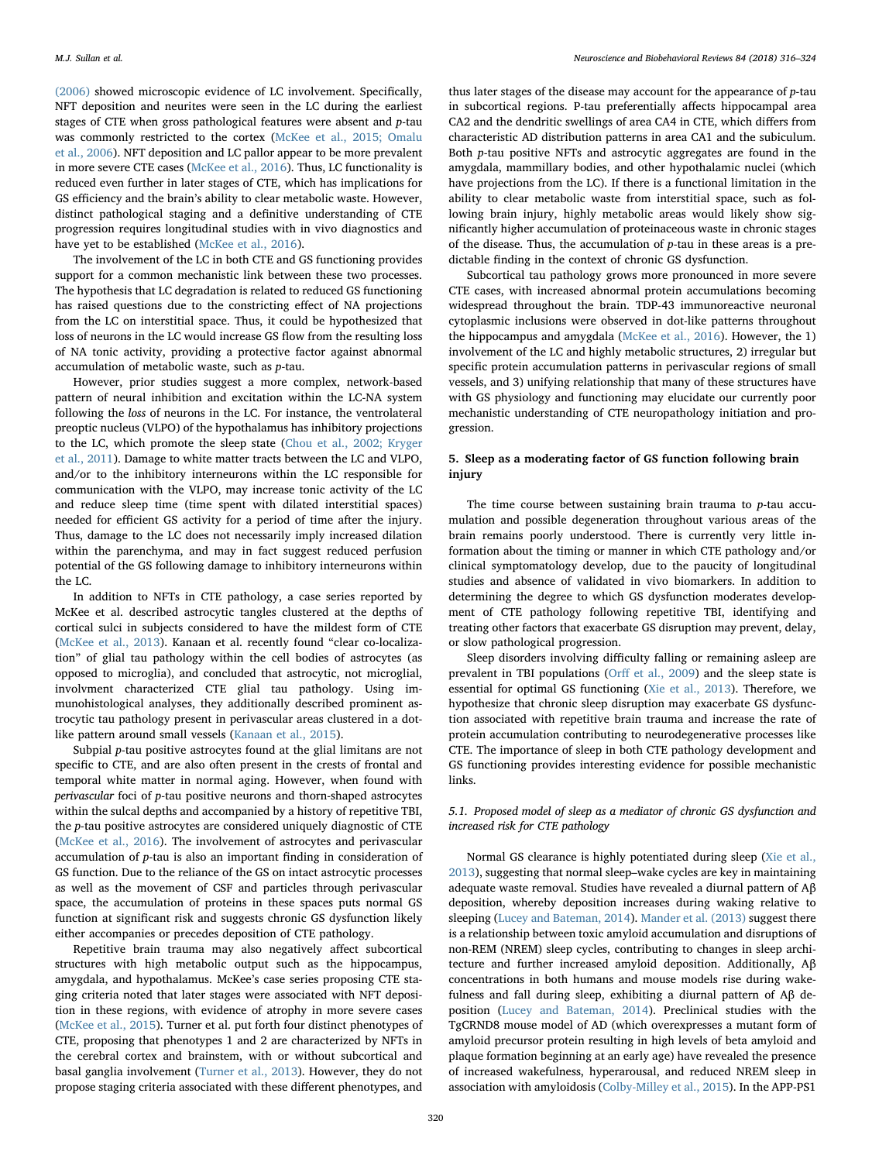(2006) showed microscopic evidence of LC involvement. Specifically, NFT deposition and neurites were seen in the LC during the earliest stages of CTE when gross pathological features were absent and p-tau was commonly restricted to the cortex (McKee et al., 2015; Omalu et al., 2006). NFT deposition and LC pallor appear to be more prevalent in more severe CTE cases (McKee et al., 2016). Thus, LC functionality is reduced even further in later stages of CTE, which has implications for GS efficiency and the brain's ability to clear metabolic waste. However, distinct pathological staging and a definitive understanding of CTE progression requires longitudinal studies with in vivo diagnostics and have yet to be established (McKee et al., 2016).

The involvement of the LC in both CTE and GS functioning provides support for a common mechanistic link between these two processes. The hypothesis that LC degradation is related to reduced GS functioning has raised questions due to the constricting effect of NA projections from the LC on interstitial space. Thus, it could be hypothesized that loss of neurons in the LC would increase GS flow from the resulting loss of NA tonic activity, providing a protective factor against abnormal accumulation of metabolic waste, such as p-tau.

However, prior studies suggest a more complex, network-based pattern of neural inhibition and excitation within the LC-NA system following the loss of neurons in the LC. For instance, the ventrolateral preoptic nucleus (VLPO) of the hypothalamus has inhibitory projections to the LC, which promote the sleep state (Chou et al., 2002; Kryger et al., 2011). Damage to white matter tracts between the LC and VLPO, and/or to the inhibitory interneurons within the LC responsible for communication with the VLPO, may increase tonic activity of the LC and reduce sleep time (time spent with dilated interstitial spaces) needed for efficient GS activity for a period of time after the injury. Thus, damage to the LC does not necessarily imply increased dilation within the parenchyma, and may in fact suggest reduced perfusion potential of the GS following damage to inhibitory interneurons within the LC.

In addition to NFTs in CTE pathology, a case series reported by McKee et al. described astrocytic tangles clustered at the depths of cortical sulci in subjects considered to have the mildest form of CTE (McKee et al., 2013). Kanaan et al. recently found "clear co-localization" of glial tau pathology within the cell bodies of astrocytes (as opposed to microglia), and concluded that astrocytic, not microglial, involvment characterized CTE glial tau pathology. Using immunohistological analyses, they additionally described prominent astrocytic tau pathology present in perivascular areas clustered in a dotlike pattern around small vessels (Kanaan et al., 2015).

Subpial p-tau positive astrocytes found at the glial limitans are not specific to CTE, and are also often present in the crests of frontal and temporal white matter in normal aging. However, when found with perivascular foci of p-tau positive neurons and thorn-shaped astrocytes within the sulcal depths and accompanied by a history of repetitive TBI, the p-tau positive astrocytes are considered uniquely diagnostic of CTE (McKee et al., 2016). The involvement of astrocytes and perivascular accumulation of p-tau is also an important finding in consideration of GS function. Due to the reliance of the GS on intact astrocytic processes as well as the movement of CSF and particles through perivascular space, the accumulation of proteins in these spaces puts normal GS function at significant risk and suggests chronic GS dysfunction likely either accompanies or precedes deposition of CTE pathology.

Repetitive brain trauma may also negatively affect subcortical structures with high metabolic output such as the hippocampus, amygdala, and hypothalamus. McKee's case series proposing CTE staging criteria noted that later stages were associated with NFT deposition in these regions, with evidence of atrophy in more severe cases (McKee et al., 2015). Turner et al. put forth four distinct phenotypes of CTE, proposing that phenotypes 1 and 2 are characterized by NFTs in the cerebral cortex and brainstem, with or without subcortical and basal ganglia involvement (Turner et al., 2013). However, they do not propose staging criteria associated with these different phenotypes, and

thus later stages of the disease may account for the appearance of  $p$ -tau in subcortical regions. P-tau preferentially affects hippocampal area CA2 and the dendritic swellings of area CA4 in CTE, which differs from characteristic AD distribution patterns in area CA1 and the subiculum. Both p-tau positive NFTs and astrocytic aggregates are found in the amygdala, mammillary bodies, and other hypothalamic nuclei (which have projections from the LC). If there is a functional limitation in the ability to clear metabolic waste from interstitial space, such as following brain injury, highly metabolic areas would likely show significantly higher accumulation of proteinaceous waste in chronic stages of the disease. Thus, the accumulation of p-tau in these areas is a predictable finding in the context of chronic GS dysfunction.

Subcortical tau pathology grows more pronounced in more severe CTE cases, with increased abnormal protein accumulations becoming widespread throughout the brain. TDP-43 immunoreactive neuronal cytoplasmic inclusions were observed in dot-like patterns throughout the hippocampus and amygdala (McKee et al., 2016). However, the 1) involvement of the LC and highly metabolic structures, 2) irregular but specific protein accumulation patterns in perivascular regions of small vessels, and 3) unifying relationship that many of these structures have with GS physiology and functioning may elucidate our currently poor mechanistic understanding of CTE neuropathology initiation and progression.

## 5. Sleep as a moderating factor of GS function following brain injury

The time course between sustaining brain trauma to  $p$ -tau accumulation and possible degeneration throughout various areas of the brain remains poorly understood. There is currently very little information about the timing or manner in which CTE pathology and/or clinical symptomatology develop, due to the paucity of longitudinal studies and absence of validated in vivo biomarkers. In addition to determining the degree to which GS dysfunction moderates development of CTE pathology following repetitive TBI, identifying and treating other factors that exacerbate GS disruption may prevent, delay, or slow pathological progression.

Sleep disorders involving difficulty falling or remaining asleep are prevalent in TBI populations (Orff et al., 2009) and the sleep state is essential for optimal GS functioning (Xie et al., 2013). Therefore, we hypothesize that chronic sleep disruption may exacerbate GS dysfunction associated with repetitive brain trauma and increase the rate of protein accumulation contributing to neurodegenerative processes like CTE. The importance of sleep in both CTE pathology development and GS functioning provides interesting evidence for possible mechanistic links.

## 5.1. Proposed model of sleep as a mediator of chronic GS dysfunction and increased risk for CTE pathology

Normal GS clearance is highly potentiated during sleep (Xie et al., 2013), suggesting that normal sleep–wake cycles are key in maintaining adequate waste removal. Studies have revealed a diurnal pattern of Aβ deposition, whereby deposition increases during waking relative to sleeping (Lucey and Bateman, 2014). Mander et al. (2013) suggest there is a relationship between toxic amyloid accumulation and disruptions of non-REM (NREM) sleep cycles, contributing to changes in sleep architecture and further increased amyloid deposition. Additionally, Aβ concentrations in both humans and mouse models rise during wakefulness and fall during sleep, exhibiting a diurnal pattern of Aβ deposition (Lucey and Bateman, 2014). Preclinical studies with the TgCRND8 mouse model of AD (which overexpresses a mutant form of amyloid precursor protein resulting in high levels of beta amyloid and plaque formation beginning at an early age) have revealed the presence of increased wakefulness, hyperarousal, and reduced NREM sleep in association with amyloidosis (Colby-Milley et al., 2015). In the APP-PS1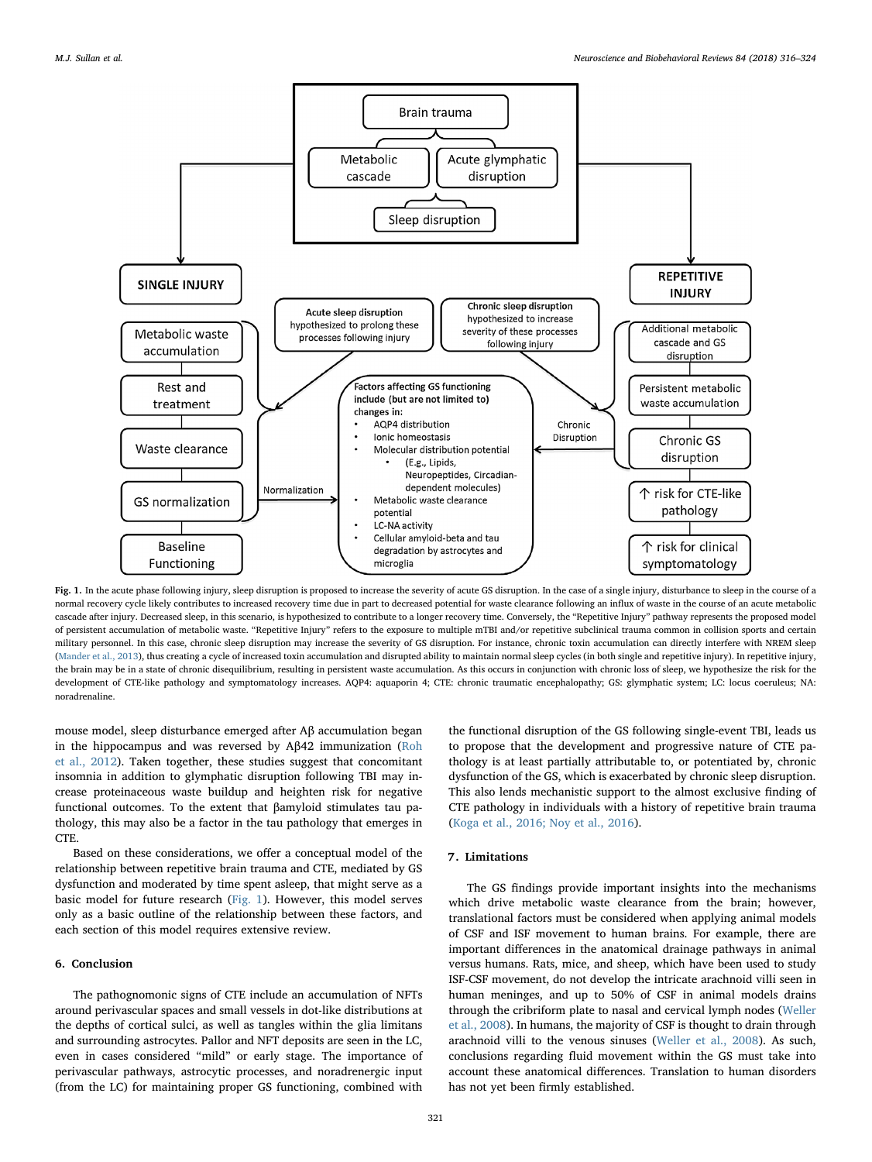

Fig. 1. In the acute phase following injury, sleep disruption is proposed to increase the severity of acute GS disruption. In the case of a single injury, disturbance to sleep in the course of a normal recovery cycle likely contributes to increased recovery time due in part to decreased potential for waste clearance following an influx of waste in the course of an acute metabolic cascade after injury. Decreased sleep, in this scenario, is hypothesized to contribute to a longer recovery time. Conversely, the "Repetitive Injury" pathway represents the proposed model of persistent accumulation of metabolic waste. "Repetitive Injury" refers to the exposure to multiple mTBI and/or repetitive subclinical trauma common in collision sports and certain military personnel. In this case, chronic sleep disruption may increase the severity of GS disruption. For instance, chronic toxin accumulation can directly interfere with NREM sleep (Mander et al., 2013), thus creating a cycle of increased toxin accumulation and disrupted ability to maintain normal sleep cycles (in both single and repetitive injury). In repetitive injury, the brain may be in a state of chronic disequilibrium, resulting in persistent waste accumulation. As this occurs in conjunction with chronic loss of sleep, we hypothesize the risk for the development of CTE-like pathology and symptomatology increases. AQP4: aquaporin 4; CTE: chronic traumatic encephalopathy; GS: glymphatic system; LC: locus coeruleus; NA: noradrenaline.

mouse model, sleep disturbance emerged after Aβ accumulation began in the hippocampus and was reversed by Aβ42 immunization (Roh et al., 2012). Taken together, these studies suggest that concomitant insomnia in addition to glymphatic disruption following TBI may increase proteinaceous waste buildup and heighten risk for negative functional outcomes. To the extent that βamyloid stimulates tau pathology, this may also be a factor in the tau pathology that emerges in CTE.

Based on these considerations, we offer a conceptual model of the relationship between repetitive brain trauma and CTE, mediated by GS dysfunction and moderated by time spent asleep, that might serve as a basic model for future research (Fig. 1). However, this model serves only as a basic outline of the relationship between these factors, and each section of this model requires extensive review.

### 6. Conclusion

The pathognomonic signs of CTE include an accumulation of NFTs around perivascular spaces and small vessels in dot-like distributions at the depths of cortical sulci, as well as tangles within the glia limitans and surrounding astrocytes. Pallor and NFT deposits are seen in the LC, even in cases considered "mild" or early stage. The importance of perivascular pathways, astrocytic processes, and noradrenergic input (from the LC) for maintaining proper GS functioning, combined with

the functional disruption of the GS following single-event TBI, leads us to propose that the development and progressive nature of CTE pathology is at least partially attributable to, or potentiated by, chronic dysfunction of the GS, which is exacerbated by chronic sleep disruption. This also lends mechanistic support to the almost exclusive finding of CTE pathology in individuals with a history of repetitive brain trauma (Koga et al., 2016; Noy et al., 2016).

## 7. Limitations

The GS findings provide important insights into the mechanisms which drive metabolic waste clearance from the brain; however, translational factors must be considered when applying animal models of CSF and ISF movement to human brains. For example, there are important differences in the anatomical drainage pathways in animal versus humans. Rats, mice, and sheep, which have been used to study ISF-CSF movement, do not develop the intricate arachnoid villi seen in human meninges, and up to 50% of CSF in animal models drains through the cribriform plate to nasal and cervical lymph nodes (Weller et al., 2008). In humans, the majority of CSF is thought to drain through arachnoid villi to the venous sinuses (Weller et al., 2008). As such, conclusions regarding fluid movement within the GS must take into account these anatomical differences. Translation to human disorders has not yet been firmly established.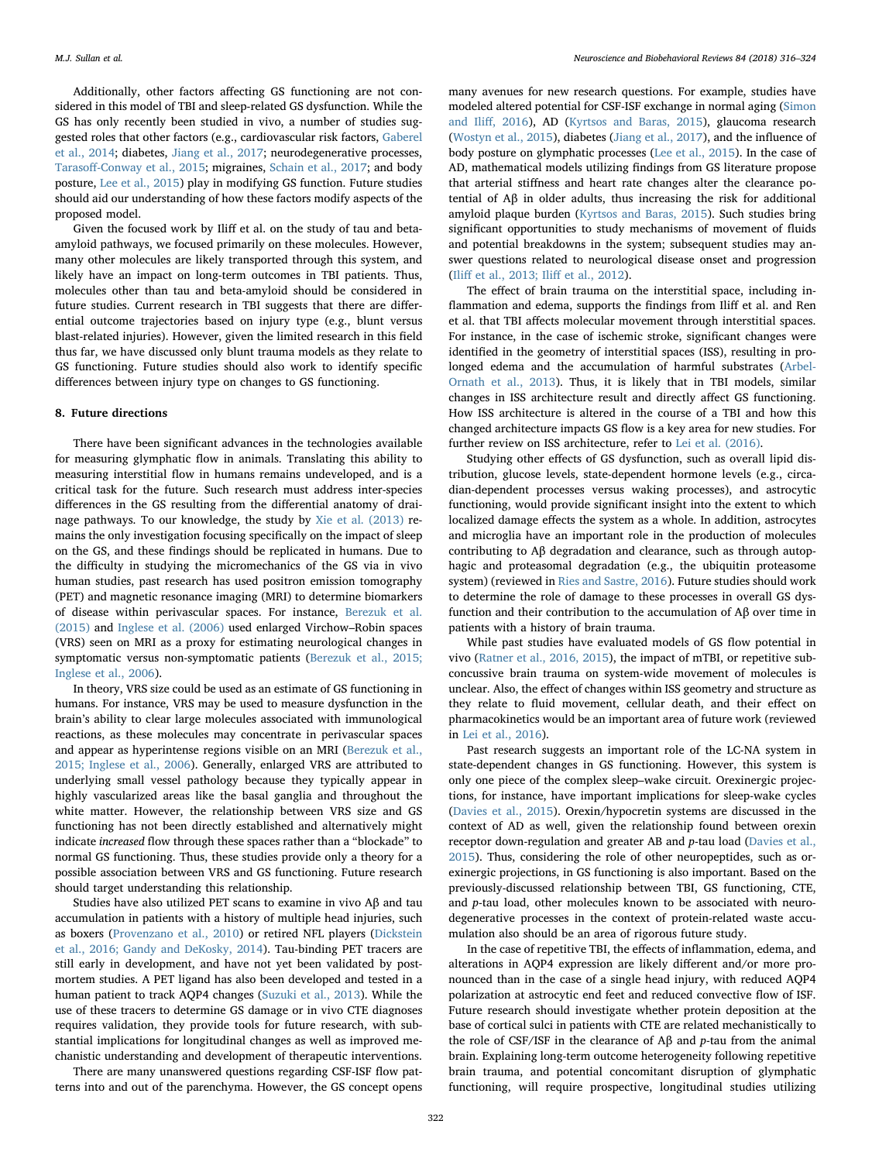Additionally, other factors affecting GS functioning are not considered in this model of TBI and sleep-related GS dysfunction. While the GS has only recently been studied in vivo, a number of studies suggested roles that other factors (e.g., cardiovascular risk factors, Gaberel et al., 2014; diabetes, Jiang et al., 2017; neurodegenerative processes, Tarasoff-Conway et al., 2015; migraines, Schain et al., 2017; and body posture, Lee et al., 2015) play in modifying GS function. Future studies should aid our understanding of how these factors modify aspects of the proposed model.

Given the focused work by Iliff et al. on the study of tau and betaamyloid pathways, we focused primarily on these molecules. However, many other molecules are likely transported through this system, and likely have an impact on long-term outcomes in TBI patients. Thus, molecules other than tau and beta-amyloid should be considered in future studies. Current research in TBI suggests that there are differential outcome trajectories based on injury type (e.g., blunt versus blast-related injuries). However, given the limited research in this field thus far, we have discussed only blunt trauma models as they relate to GS functioning. Future studies should also work to identify specific differences between injury type on changes to GS functioning.

#### 8. Future directions

There have been significant advances in the technologies available for measuring glymphatic flow in animals. Translating this ability to measuring interstitial flow in humans remains undeveloped, and is a critical task for the future. Such research must address inter-species differences in the GS resulting from the differential anatomy of drainage pathways. To our knowledge, the study by Xie et al. (2013) remains the only investigation focusing specifically on the impact of sleep on the GS, and these findings should be replicated in humans. Due to the difficulty in studying the micromechanics of the GS via in vivo human studies, past research has used positron emission tomography (PET) and magnetic resonance imaging (MRI) to determine biomarkers of disease within perivascular spaces. For instance, Berezuk et al. (2015) and Inglese et al. (2006) used enlarged Virchow–Robin spaces (VRS) seen on MRI as a proxy for estimating neurological changes in symptomatic versus non-symptomatic patients (Berezuk et al., 2015; Inglese et al., 2006).

In theory, VRS size could be used as an estimate of GS functioning in humans. For instance, VRS may be used to measure dysfunction in the brain's ability to clear large molecules associated with immunological reactions, as these molecules may concentrate in perivascular spaces and appear as hyperintense regions visible on an MRI (Berezuk et al., 2015; Inglese et al., 2006). Generally, enlarged VRS are attributed to underlying small vessel pathology because they typically appear in highly vascularized areas like the basal ganglia and throughout the white matter. However, the relationship between VRS size and GS functioning has not been directly established and alternatively might indicate increased flow through these spaces rather than a "blockade" to normal GS functioning. Thus, these studies provide only a theory for a possible association between VRS and GS functioning. Future research should target understanding this relationship.

Studies have also utilized PET scans to examine in vivo Aβ and tau accumulation in patients with a history of multiple head injuries, such as boxers (Provenzano et al., 2010) or retired NFL players (Dickstein et al., 2016; Gandy and DeKosky, 2014). Tau-binding PET tracers are still early in development, and have not yet been validated by postmortem studies. A PET ligand has also been developed and tested in a human patient to track AQP4 changes (Suzuki et al., 2013). While the use of these tracers to determine GS damage or in vivo CTE diagnoses requires validation, they provide tools for future research, with substantial implications for longitudinal changes as well as improved mechanistic understanding and development of therapeutic interventions.

There are many unanswered questions regarding CSF-ISF flow patterns into and out of the parenchyma. However, the GS concept opens

many avenues for new research questions. For example, studies have modeled altered potential for CSF-ISF exchange in normal aging (Simon and Iliff, 2016), AD (Kyrtsos and Baras, 2015), glaucoma research (Wostyn et al., 2015), diabetes (Jiang et al., 2017), and the influence of body posture on glymphatic processes (Lee et al., 2015). In the case of AD, mathematical models utilizing findings from GS literature propose that arterial stiffness and heart rate changes alter the clearance potential of Aβ in older adults, thus increasing the risk for additional amyloid plaque burden (Kyrtsos and Baras, 2015). Such studies bring significant opportunities to study mechanisms of movement of fluids and potential breakdowns in the system; subsequent studies may answer questions related to neurological disease onset and progression (Iliff et al., 2013; Iliff et al., 2012).

The effect of brain trauma on the interstitial space, including inflammation and edema, supports the findings from Iliff et al. and Ren et al. that TBI affects molecular movement through interstitial spaces. For instance, in the case of ischemic stroke, significant changes were identified in the geometry of interstitial spaces (ISS), resulting in prolonged edema and the accumulation of harmful substrates (Arbel-Ornath et al., 2013). Thus, it is likely that in TBI models, similar changes in ISS architecture result and directly affect GS functioning. How ISS architecture is altered in the course of a TBI and how this changed architecture impacts GS flow is a key area for new studies. For further review on ISS architecture, refer to Lei et al. (2016).

Studying other effects of GS dysfunction, such as overall lipid distribution, glucose levels, state-dependent hormone levels (e.g., circadian-dependent processes versus waking processes), and astrocytic functioning, would provide significant insight into the extent to which localized damage effects the system as a whole. In addition, astrocytes and microglia have an important role in the production of molecules contributing to Aβ degradation and clearance, such as through autophagic and proteasomal degradation (e.g., the ubiquitin proteasome system) (reviewed in Ries and Sastre, 2016). Future studies should work to determine the role of damage to these processes in overall GS dysfunction and their contribution to the accumulation of Aβ over time in patients with a history of brain trauma.

While past studies have evaluated models of GS flow potential in vivo (Ratner et al., 2016, 2015), the impact of mTBI, or repetitive subconcussive brain trauma on system-wide movement of molecules is unclear. Also, the effect of changes within ISS geometry and structure as they relate to fluid movement, cellular death, and their effect on pharmacokinetics would be an important area of future work (reviewed in Lei et al., 2016).

Past research suggests an important role of the LC-NA system in state-dependent changes in GS functioning. However, this system is only one piece of the complex sleep–wake circuit. Orexinergic projections, for instance, have important implications for sleep-wake cycles (Davies et al., 2015). Orexin/hypocretin systems are discussed in the context of AD as well, given the relationship found between orexin receptor down-regulation and greater AB and p-tau load (Davies et al., 2015). Thus, considering the role of other neuropeptides, such as orexinergic projections, in GS functioning is also important. Based on the previously-discussed relationship between TBI, GS functioning, CTE, and p-tau load, other molecules known to be associated with neurodegenerative processes in the context of protein-related waste accumulation also should be an area of rigorous future study.

In the case of repetitive TBI, the effects of inflammation, edema, and alterations in AQP4 expression are likely different and/or more pronounced than in the case of a single head injury, with reduced AQP4 polarization at astrocytic end feet and reduced convective flow of ISF. Future research should investigate whether protein deposition at the base of cortical sulci in patients with CTE are related mechanistically to the role of CSF/ISF in the clearance of Aβ and p-tau from the animal brain. Explaining long-term outcome heterogeneity following repetitive brain trauma, and potential concomitant disruption of glymphatic functioning, will require prospective, longitudinal studies utilizing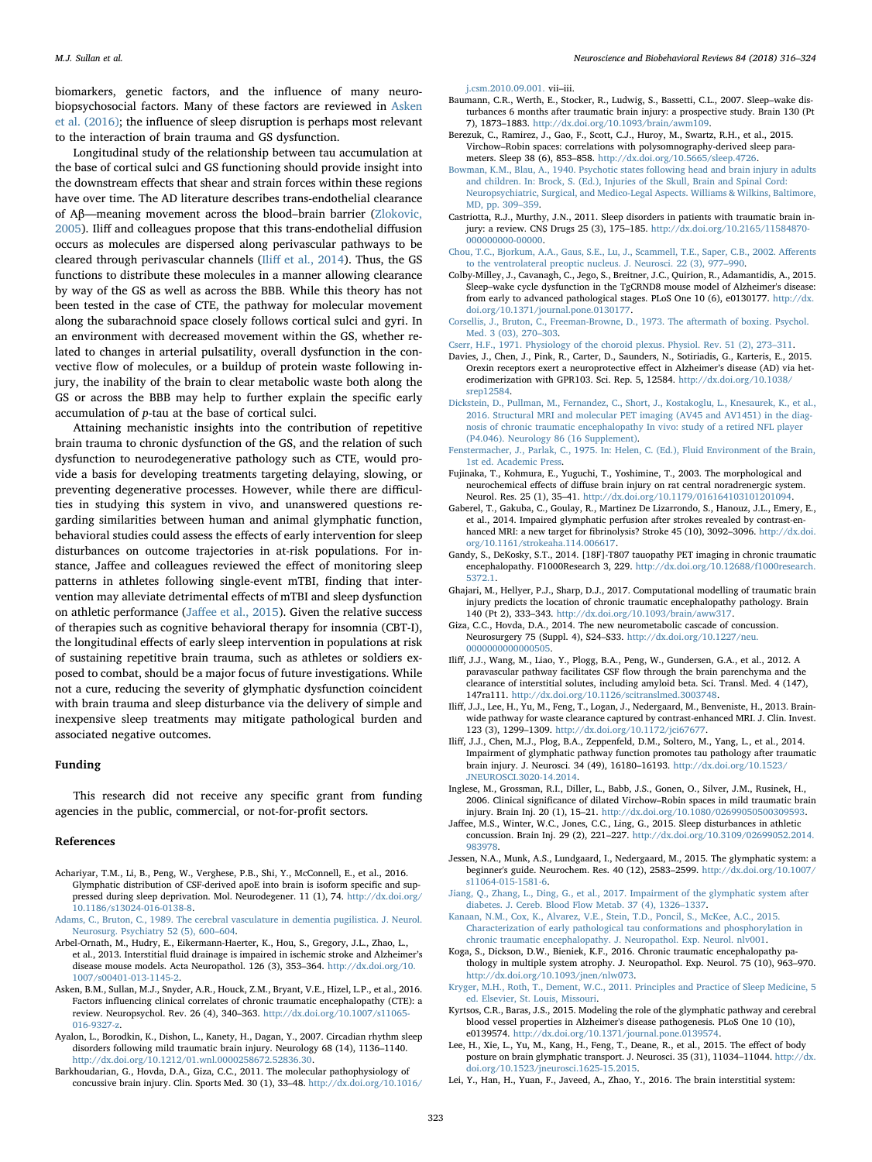biomarkers, genetic factors, and the influence of many neurobiopsychosocial factors. Many of these factors are reviewed in Asken et al. (2016); the influence of sleep disruption is perhaps most relevant to the interaction of brain trauma and GS dysfunction.

Longitudinal study of the relationship between tau accumulation at the base of cortical sulci and GS functioning should provide insight into the downstream effects that shear and strain forces within these regions have over time. The AD literature describes trans-endothelial clearance of Aβ—meaning movement across the blood–brain barrier (Zlokovic, 2005). Iliff and colleagues propose that this trans-endothelial diffusion occurs as molecules are dispersed along perivascular pathways to be cleared through perivascular channels (Iliff et al., 2014). Thus, the GS functions to distribute these molecules in a manner allowing clearance by way of the GS as well as across the BBB. While this theory has not been tested in the case of CTE, the pathway for molecular movement along the subarachnoid space closely follows cortical sulci and gyri. In an environment with decreased movement within the GS, whether related to changes in arterial pulsatility, overall dysfunction in the convective flow of molecules, or a buildup of protein waste following injury, the inability of the brain to clear metabolic waste both along the GS or across the BBB may help to further explain the specific early accumulation of p-tau at the base of cortical sulci.

Attaining mechanistic insights into the contribution of repetitive brain trauma to chronic dysfunction of the GS, and the relation of such dysfunction to neurodegenerative pathology such as CTE, would provide a basis for developing treatments targeting delaying, slowing, or preventing degenerative processes. However, while there are difficulties in studying this system in vivo, and unanswered questions regarding similarities between human and animal glymphatic function, behavioral studies could assess the effects of early intervention for sleep disturbances on outcome trajectories in at-risk populations. For instance, Jaffee and colleagues reviewed the effect of monitoring sleep patterns in athletes following single-event mTBI, finding that intervention may alleviate detrimental effects of mTBI and sleep dysfunction on athletic performance (Jaffee et al., 2015). Given the relative success of therapies such as cognitive behavioral therapy for insomnia (CBT-I), the longitudinal effects of early sleep intervention in populations at risk of sustaining repetitive brain trauma, such as athletes or soldiers exposed to combat, should be a major focus of future investigations. While not a cure, reducing the severity of glymphatic dysfunction coincident with brain trauma and sleep disturbance via the delivery of simple and inexpensive sleep treatments may mitigate pathological burden and associated negative outcomes.

#### Funding

This research did not receive any specific grant from funding agencies in the public, commercial, or not-for-profit sectors.

#### References

- Achariyar, T.M., Li, B., Peng, W., Verghese, P.B., Shi, Y., McConnell, E., et al., 2016. Glymphatic distribution of CSF-derived apoE into brain is isoform specific and suppressed during sleep deprivation. Mol. Neurodegener. 11 (1), 74. http://dx.doi.org/ 10.1186/s13024-016-0138-8.
- Adams, C., Bruton, C., 1989. The cerebral vasculature in dementia pugilistica. J. Neurol. Neurosurg. Psychiatry 52 (5), 600–604.
- Arbel-Ornath, M., Hudry, E., Eikermann-Haerter, K., Hou, S., Gregory, J.L., Zhao, L., et al., 2013. Interstitial fluid drainage is impaired in ischemic stroke and Alzheimer's disease mouse models. Acta Neuropathol. 126 (3), 353–364. http://dx.doi.org/10. 1007/s00401-013-1145-2.
- Asken, B.M., Sullan, M.J., Snyder, A.R., Houck, Z.M., Bryant, V.E., Hizel, L.P., et al., 2016. Factors influencing clinical correlates of chronic traumatic encephalopathy (CTE): a review. Neuropsychol. Rev. 26 (4), 340–363. http://dx.doi.org/10.1007/s11065- 016-9327-z.
- Ayalon, L., Borodkin, K., Dishon, L., Kanety, H., Dagan, Y., 2007. Circadian rhythm sleep disorders following mild traumatic brain injury. Neurology 68 (14), 1136–1140. http://dx.doi.org/10.1212/01.wnl.0000258672.52836.30.
- Barkhoudarian, G., Hovda, D.A., Giza, C.C., 2011. The molecular pathophysiology of concussive brain injury. Clin. Sports Med. 30 (1), 33–48. http://dx.doi.org/10.1016/

j.csm.2010.09.001. vii–iii.

- Baumann, C.R., Werth, E., Stocker, R., Ludwig, S., Bassetti, C.L., 2007. Sleep–wake disturbances 6 months after traumatic brain injury: a prospective study. Brain 130 (Pt 7), 1873–1883. http://dx.doi.org/10.1093/brain/awm109.
- Berezuk, C., Ramirez, J., Gao, F., Scott, C.J., Huroy, M., Swartz, R.H., et al., 2015. Virchow–Robin spaces: correlations with polysomnography-derived sleep parameters. Sleep 38 (6), 853–858. http://dx.doi.org/10.5665/sleep.4726.
- Bowman, K.M., Blau, A., 1940. Psychotic states following head and brain injury in adults and children. In: Brock, S. (Ed.), Injuries of the Skull, Brain and Spinal Cord: Neuropsychiatric, Surgical, and Medico-Legal Aspects. Williams & Wilkins, Baltimore, MD, pp. 309–359.
- Castriotta, R.J., Murthy, J.N., 2011. Sleep disorders in patients with traumatic brain injury: a review. CNS Drugs 25 (3), 175–185. http://dx.doi.org/10.2165/11584870- 000000000-00000.
- Chou, T.C., Bjorkum, A.A., Gaus, S.E., Lu, J., Scammell, T.E., Saper, C.B., 2002. Afferents to the ventrolateral preoptic nucleus. J. Neurosci. 22 (3), 977–990.
- Colby-Milley, J., Cavanagh, C., Jego, S., Breitner, J.C., Quirion, R., Adamantidis, A., 2015. Sleep–wake cycle dysfunction in the TgCRND8 mouse model of Alzheimer's disease: from early to advanced pathological stages. PLoS One 10 (6), e0130177. http://dx. doi.org/10.1371/journal.pone.0130177.
- Corsellis, J., Bruton, C., Freeman-Browne, D., 1973. The aftermath of boxing. Psychol. Med. 3 (03), 270–303.
- Cserr, H.F., 1971. Physiology of the choroid plexus. Physiol. Rev. 51 (2), 273–311.
- Davies, J., Chen, J., Pink, R., Carter, D., Saunders, N., Sotiriadis, G., Karteris, E., 2015. Orexin receptors exert a neuroprotective effect in Alzheimer's disease (AD) via heterodimerization with GPR103. Sci. Rep. 5, 12584. http://dx.doi.org/10.1038/ srep12584.
- Dickstein, D., Pullman, M., Fernandez, C., Short, J., Kostakoglu, L., Knesaurek, K., et al., 2016. Structural MRI and molecular PET imaging (AV45 and AV1451) in the diagnosis of chronic traumatic encephalopathy In vivo: study of a retired NFL player (P4.046). Neurology 86 (16 Supplement).
- Fenstermacher, J., Parlak, C., 1975. In: Helen, C. (Ed.), Fluid Environment of the Brain, 1st ed. Academic Press.
- Fujinaka, T., Kohmura, E., Yuguchi, T., Yoshimine, T., 2003. The morphological and neurochemical effects of diffuse brain injury on rat central noradrenergic system. Neurol. Res. 25 (1), 35–41. http://dx.doi.org/10.1179/016164103101201094.
- Gaberel, T., Gakuba, C., Goulay, R., Martinez De Lizarrondo, S., Hanouz, J.L., Emery, E., et al., 2014. Impaired glymphatic perfusion after strokes revealed by contrast-enhanced MRI: a new target for fibrinolysis? Stroke 45 (10), 3092–3096. http://dx.doi. org/10.1161/strokeaha.114.006617.
- Gandy, S., DeKosky, S.T., 2014. [18F]-T807 tauopathy PET imaging in chronic traumatic encephalopathy. F1000Research 3, 229. http://dx.doi.org/10.12688/f1000research. 5372.1.
- Ghajari, M., Hellyer, P.J., Sharp, D.J., 2017. Computational modelling of traumatic brain injury predicts the location of chronic traumatic encephalopathy pathology. Brain 140 (Pt 2), 333–343. http://dx.doi.org/10.1093/brain/aww317.

Giza, C.C., Hovda, D.A., 2014. The new neurometabolic cascade of concussion. Neurosurgery 75 (Suppl. 4), S24–S33. http://dx.doi.org/10.1227/neu. 0000000000000505.

- Iliff, J.J., Wang, M., Liao, Y., Plogg, B.A., Peng, W., Gundersen, G.A., et al., 2012. A paravascular pathway facilitates CSF flow through the brain parenchyma and the clearance of interstitial solutes, including amyloid beta. Sci. Transl. Med. 4 (147), 147ra111. http://dx.doi.org/10.1126/scitranslmed.3003748.
- Iliff, J.J., Lee, H., Yu, M., Feng, T., Logan, J., Nedergaard, M., Benveniste, H., 2013. Brainwide pathway for waste clearance captured by contrast-enhanced MRI. J. Clin. Invest. 123 (3), 1299–1309. http://dx.doi.org/10.1172/jci67677.
- Iliff, J.J., Chen, M.J., Plog, B.A., Zeppenfeld, D.M., Soltero, M., Yang, L., et al., 2014. Impairment of glymphatic pathway function promotes tau pathology after traumatic brain injury. J. Neurosci. 34 (49), 16180–16193. http://dx.doi.org/10.1523/ JNEUROSCI.3020-14.2014.
- Inglese, M., Grossman, R.I., Diller, L., Babb, J.S., Gonen, O., Silver, J.M., Rusinek, H., 2006. Clinical significance of dilated Virchow–Robin spaces in mild traumatic brain injury. Brain Inj. 20 (1), 15–21. http://dx.doi.org/10.1080/02699050500309593.
- Jaffee, M.S., Winter, W.C., Jones, C.C., Ling, G., 2015. Sleep disturbances in athletic concussion. Brain Inj. 29 (2), 221–227. http://dx.doi.org/10.3109/02699052.2014. 983978.
- Jessen, N.A., Munk, A.S., Lundgaard, I., Nedergaard, M., 2015. The glymphatic system: a beginner's guide. Neurochem. Res. 40 (12), 2583–2599. http://dx.doi.org/10.1007/ s11064-015-1581-6.
- Jiang, Q., Zhang, L., Ding, G., et al., 2017. Impairment of the glymphatic system after diabetes. J. Cereb. Blood Flow Metab. 37 (4), 1326–1337.
- Kanaan, N.M., Cox, K., Alvarez, V.E., Stein, T.D., Poncil, S., McKee, A.C., 2015. Characterization of early pathological tau conformations and phosphorylation in chronic traumatic encephalopathy. J. Neuropathol. Exp. Neurol. nlv001.
- Koga, S., Dickson, D.W., Bieniek, K.F., 2016. Chronic traumatic encephalopathy pathology in multiple system atrophy. J. Neuropathol. Exp. Neurol. 75 (10), 963–970. http://dx.doi.org/10.1093/jnen/nlw073.
- Kryger, M.H., Roth, T., Dement, W.C., 2011. Principles and Practice of Sleep Medicine, 5 ed. Elsevier, St. Louis, Missouri.
- Kyrtsos, C.R., Baras, J.S., 2015. Modeling the role of the glymphatic pathway and cerebral blood vessel properties in Alzheimer's disease pathogenesis. PLoS One 10 (10), e0139574. http://dx.doi.org/10.1371/journal.pone.0139574.
- Lee, H., Xie, L., Yu, M., Kang, H., Feng, T., Deane, R., et al., 2015. The effect of body posture on brain glymphatic transport. J. Neurosci. 35 (31), 11034–11044. http://dx. doi.org/10.1523/jneurosci.1625-15.2015.
- Lei, Y., Han, H., Yuan, F., Javeed, A., Zhao, Y., 2016. The brain interstitial system: